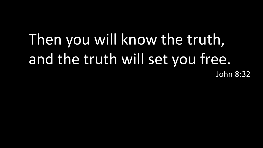### Then you will know the truth, and the truth will set you free. John 8:32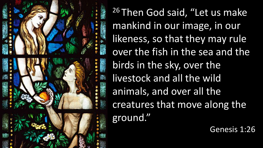

26 Then God said, "Let us make mankind in our image, in our likeness, so that they may rule over the fish in the sea and the birds in the sky, over the livestock and all the wild animals, and over all the creatures that move along the ground."

Genesis 1:26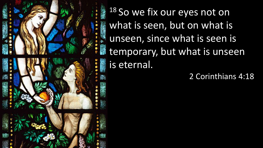18 So we fix our eyes not on what is seen, but on what is unseen, since what is seen is temporary, but what is unseen is eternal.

2 Corinthians 4:18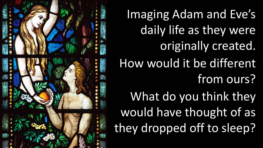

Imaging Adam and Eve's daily life as they were originally created. How would it be different from ours? What do you think they would have thought of as they dropped off to sleep?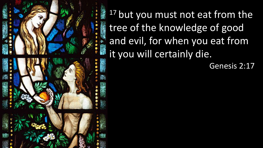

<sup>17</sup> but you must not eat from the tree of the knowledge of good and evil, for when you eat from it you will certainly die.

Genesis 2:17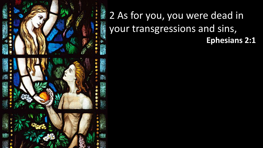

#### 2 As for you, you were dead in your transgressions and sins, **Ephesians 2:1**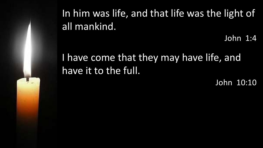In him was life, and that life was the light of all mankind.

John 1:4

#### I have come that they may have life, and have it to the full.

John 10:10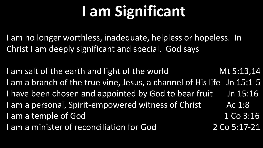# **I am Significant**

I am no longer worthless, inadequate, helpless or hopeless. In Christ I am deeply significant and special. God says

I am salt of the earth and light of the world Mt 5:13,14 I am a branch of the true vine, Jesus, a channel of His life Jn 15:1-5 I have been chosen and appointed by God to bear fruit Jn 15:16 I am a personal, Spirit-empowered witness of Christ Ac 1:8 I am a temple of God 1 Co 3:16 I am a minister of reconciliation for God 2 Co 5:17-21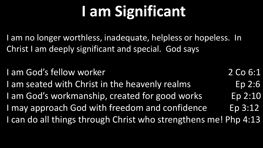# **I am Significant**

I am no longer worthless, inadequate, helpless or hopeless. In Christ I am deeply significant and special. God says

I am God's fellow worker 2 Co 6:1 I am seated with Christ in the heavenly realms Ep 2:6 I am God's workmanship, created for good works Ep 2:10 I may approach God with freedom and confidence Ep 3:12 I can do all things through Christ who strengthens me! Php 4:13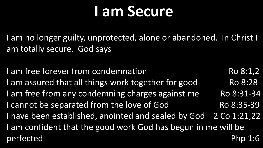## **I am Secure**

I am no longer guilty, unprotected, alone or abandoned. In Christ I am totally secure. God says

I am free forever from condemnation Ro 8:1,2 I am assured that all things work together for good Ro 8:28 I am free from any condemning charges against me Ro 8:31-34 I cannot be separated from the love of God Ro 8:35-39 I have been established, anointed and sealed by God 2 Co 1:21,22 I am confident that the good work God has begun in me will be perfected Php 1:6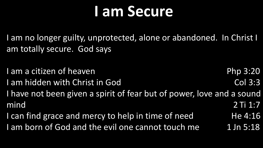## **I am Secure**

I am no longer guilty, unprotected, alone or abandoned. In Christ I am totally secure. God says

- I am a citizen of heaven **Php 3:20** I am hidden with Christ in God Col 3:3 I have not been given a spirit of fear but of power, love and a sound mind 2 Ti 1:7
- I can find grace and mercy to help in time of need He 4:16 I am born of God and the evil one cannot touch me 1 Jn 5:18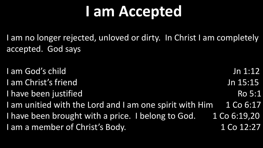## **I am Accepted**

I am no longer rejected, unloved or dirty. In Christ I am completely accepted. God says

I am God's child Jn 1:12 I am Christ's friend Jn 15:15 I have been justified Ro 5:1 I am unitied with the Lord and I am one spirit with Him 1 Co 6:17 I have been brought with a price. I belong to God.  $1$  Co 6:19,20 I am a member of Christ's Body. 1 Co 12:27